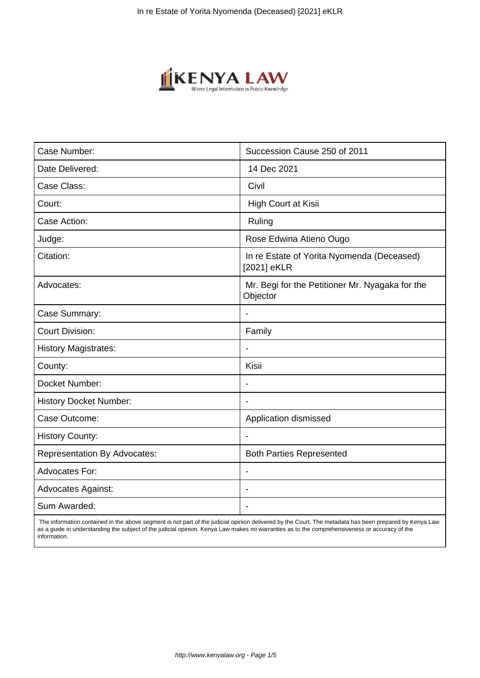

| Case Number:                        | Succession Cause 250 of 2011                                |
|-------------------------------------|-------------------------------------------------------------|
| Date Delivered:                     | 14 Dec 2021                                                 |
| Case Class:                         | Civil                                                       |
| Court:                              | High Court at Kisii                                         |
| Case Action:                        | Ruling                                                      |
| Judge:                              | Rose Edwina Atieno Ougo                                     |
| Citation:                           | In re Estate of Yorita Nyomenda (Deceased)<br>[2021] eKLR   |
| Advocates:                          | Mr. Begi for the Petitioner Mr. Nyagaka for the<br>Objector |
| Case Summary:                       | $\blacksquare$                                              |
| <b>Court Division:</b>              | Family                                                      |
| <b>History Magistrates:</b>         |                                                             |
| County:                             | Kisii                                                       |
| Docket Number:                      | $\overline{\phantom{a}}$                                    |
| <b>History Docket Number:</b>       |                                                             |
| Case Outcome:                       | Application dismissed                                       |
| <b>History County:</b>              |                                                             |
| <b>Representation By Advocates:</b> | <b>Both Parties Represented</b>                             |
| <b>Advocates For:</b>               |                                                             |
| <b>Advocates Against:</b>           |                                                             |
| Sum Awarded:                        |                                                             |

 The information contained in the above segment is not part of the judicial opinion delivered by the Court. The metadata has been prepared by Kenya Law as a guide in understanding the subject of the judicial opinion. Kenya Law makes no warranties as to the comprehensiveness or accuracy of the information.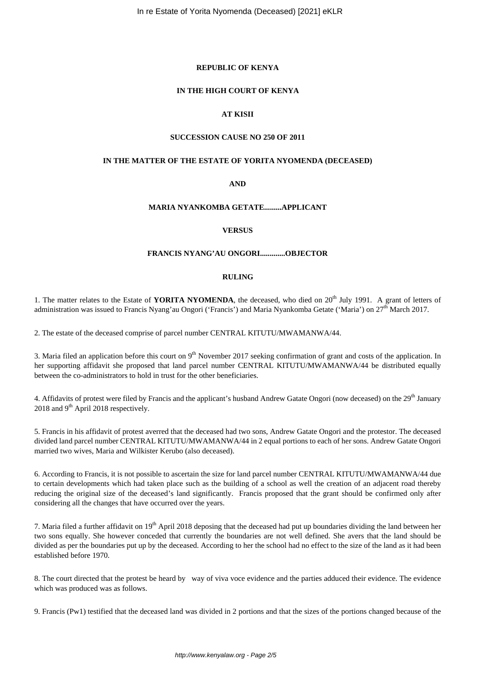# **REPUBLIC OF KENYA**

### **IN THE HIGH COURT OF KENYA**

# **AT KISII**

# **SUCCESSION CAUSE NO 250 OF 2011**

#### **IN THE MATTER OF THE ESTATE OF YORITA NYOMENDA (DECEASED)**

**AND**

# **MARIA NYANKOMBA GETATE.........APPLICANT**

#### **VERSUS**

# **FRANCIS NYANG'AU ONGORI.............OBJECTOR**

# **RULING**

1. The matter relates to the Estate of **YORITA NYOMENDA**, the deceased, who died on 20<sup>th</sup> July 1991. A grant of letters of administration was issued to Francis Nyang'au Ongori ('Francis') and Maria Nyankomba Getate ('Maria') on 27<sup>th</sup> March 2017.

2. The estate of the deceased comprise of parcel number CENTRAL KITUTU/MWAMANWA/44.

3. Maria filed an application before this court on  $9<sup>th</sup>$  November 2017 seeking confirmation of grant and costs of the application. In her supporting affidavit she proposed that land parcel number CENTRAL KITUTU/MWAMANWA/44 be distributed equally between the co-administrators to hold in trust for the other beneficiaries.

4. Affidavits of protest were filed by Francis and the applicant's husband Andrew Gatate Ongori (now deceased) on the 29<sup>th</sup> January 2018 and 9<sup>th</sup> April 2018 respectively.

5. Francis in his affidavit of protest averred that the deceased had two sons, Andrew Gatate Ongori and the protestor. The deceased divided land parcel number CENTRAL KITUTU/MWAMANWA/44 in 2 equal portions to each of her sons. Andrew Gatate Ongori married two wives, Maria and Wilkister Kerubo (also deceased).

6. According to Francis, it is not possible to ascertain the size for land parcel number CENTRAL KITUTU/MWAMANWA/44 due to certain developments which had taken place such as the building of a school as well the creation of an adjacent road thereby reducing the original size of the deceased's land significantly. Francis proposed that the grant should be confirmed only after considering all the changes that have occurred over the years.

7. Maria filed a further affidavit on 19<sup>th</sup> April 2018 deposing that the deceased had put up boundaries dividing the land between her two sons equally. She however conceded that currently the boundaries are not well defined. She avers that the land should be divided as per the boundaries put up by the deceased. According to her the school had no effect to the size of the land as it had been established before 1970.

8. The court directed that the protest be heard by way of viva voce evidence and the parties adduced their evidence. The evidence which was produced was as follows.

9. Francis (Pw1) testified that the deceased land was divided in 2 portions and that the sizes of the portions changed because of the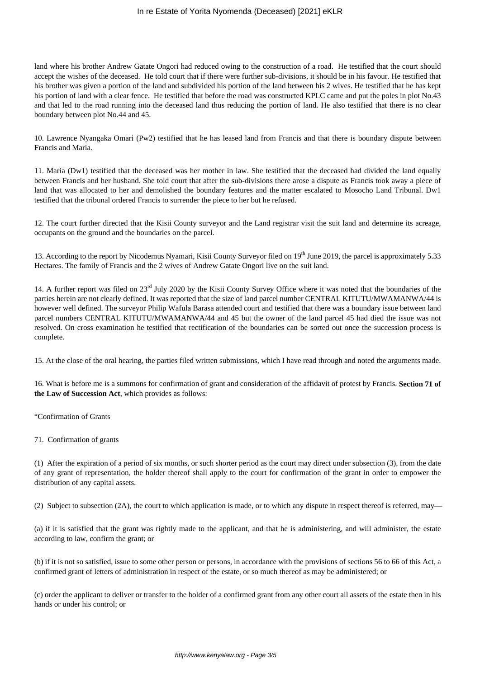land where his brother Andrew Gatate Ongori had reduced owing to the construction of a road. He testified that the court should accept the wishes of the deceased. He told court that if there were further sub-divisions, it should be in his favour. He testified that his brother was given a portion of the land and subdivided his portion of the land between his 2 wives. He testified that he has kept his portion of land with a clear fence. He testified that before the road was constructed KPLC came and put the poles in plot No.43 and that led to the road running into the deceased land thus reducing the portion of land. He also testified that there is no clear boundary between plot No.44 and 45.

10. Lawrence Nyangaka Omari (Pw2) testified that he has leased land from Francis and that there is boundary dispute between Francis and Maria.

11. Maria (Dw1) testified that the deceased was her mother in law. She testified that the deceased had divided the land equally between Francis and her husband. She told court that after the sub-divisions there arose a dispute as Francis took away a piece of land that was allocated to her and demolished the boundary features and the matter escalated to Mosocho Land Tribunal. Dw1 testified that the tribunal ordered Francis to surrender the piece to her but he refused.

12. The court further directed that the Kisii County surveyor and the Land registrar visit the suit land and determine its acreage, occupants on the ground and the boundaries on the parcel.

13. According to the report by Nicodemus Nyamari, Kisii County Surveyor filed on 19<sup>th</sup> June 2019, the parcel is approximately 5.33 Hectares. The family of Francis and the 2 wives of Andrew Gatate Ongori live on the suit land.

14. A further report was filed on  $23<sup>rd</sup>$  July 2020 by the Kisii County Survey Office where it was noted that the boundaries of the parties herein are not clearly defined. It was reported that the size of land parcel number CENTRAL KITUTU/MWAMANWA/44 is however well defined. The surveyor Philip Wafula Barasa attended court and testified that there was a boundary issue between land parcel numbers CENTRAL KITUTU/MWAMANWA/44 and 45 but the owner of the land parcel 45 had died the issue was not resolved. On cross examination he testified that rectification of the boundaries can be sorted out once the succession process is complete.

15. At the close of the oral hearing, the parties filed written submissions, which I have read through and noted the arguments made.

16. What is before me is a summons for confirmation of grant and consideration of the affidavit of protest by Francis. **Section 71 of the Law of Succession Act**, which provides as follows:

"Confirmation of Grants

71. Confirmation of grants

(1) After the expiration of a period of six months, or such shorter period as the court may direct under subsection (3), from the date of any grant of representation, the holder thereof shall apply to the court for confirmation of the grant in order to empower the distribution of any capital assets.

(2) Subject to subsection (2A), the court to which application is made, or to which any dispute in respect thereof is referred, may—

(a) if it is satisfied that the grant was rightly made to the applicant, and that he is administering, and will administer, the estate according to law, confirm the grant; or

(b) if it is not so satisfied, issue to some other person or persons, in accordance with the provisions of sections 56 to 66 of this Act, a confirmed grant of letters of administration in respect of the estate, or so much thereof as may be administered; or

(c) order the applicant to deliver or transfer to the holder of a confirmed grant from any other court all assets of the estate then in his hands or under his control; or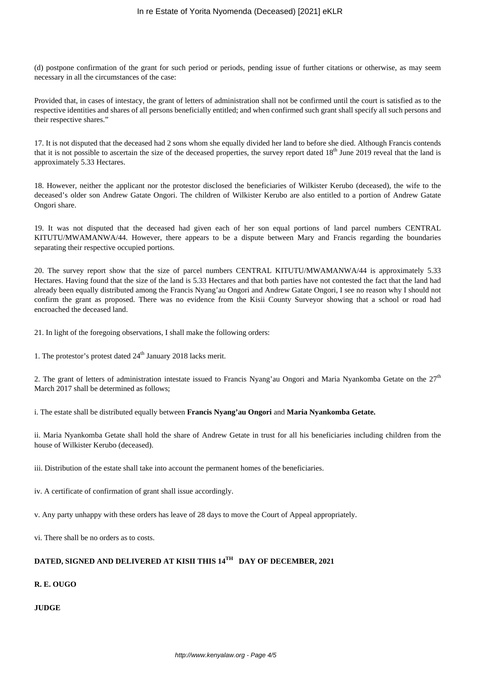(d) postpone confirmation of the grant for such period or periods, pending issue of further citations or otherwise, as may seem necessary in all the circumstances of the case:

Provided that, in cases of intestacy, the grant of letters of administration shall not be confirmed until the court is satisfied as to the respective identities and shares of all persons beneficially entitled; and when confirmed such grant shall specify all such persons and their respective shares."

17. It is not disputed that the deceased had 2 sons whom she equally divided her land to before she died. Although Francis contends that it is not possible to ascertain the size of the deceased properties, the survey report dated 18<sup>th</sup> June 2019 reveal that the land is approximately 5.33 Hectares.

18. However, neither the applicant nor the protestor disclosed the beneficiaries of Wilkister Kerubo (deceased), the wife to the deceased's older son Andrew Gatate Ongori. The children of Wilkister Kerubo are also entitled to a portion of Andrew Gatate Ongori share.

19. It was not disputed that the deceased had given each of her son equal portions of land parcel numbers CENTRAL KITUTU/MWAMANWA/44. However, there appears to be a dispute between Mary and Francis regarding the boundaries separating their respective occupied portions.

20. The survey report show that the size of parcel numbers CENTRAL KITUTU/MWAMANWA/44 is approximately 5.33 Hectares. Having found that the size of the land is 5.33 Hectares and that both parties have not contested the fact that the land had already been equally distributed among the Francis Nyang'au Ongori and Andrew Gatate Ongori, I see no reason why I should not confirm the grant as proposed. There was no evidence from the Kisii County Surveyor showing that a school or road had encroached the deceased land.

21. In light of the foregoing observations, I shall make the following orders:

1. The protestor's protest dated  $24<sup>th</sup>$  January 2018 lacks merit.

2. The grant of letters of administration intestate issued to Francis Nyang'au Ongori and Maria Nyankomba Getate on the  $27<sup>th</sup>$ March 2017 shall be determined as follows;

i. The estate shall be distributed equally between **Francis Nyang'au Ongori** and **Maria Nyankomba Getate.** 

ii. Maria Nyankomba Getate shall hold the share of Andrew Getate in trust for all his beneficiaries including children from the house of Wilkister Kerubo (deceased).

iii. Distribution of the estate shall take into account the permanent homes of the beneficiaries.

iv. A certificate of confirmation of grant shall issue accordingly.

v. Any party unhappy with these orders has leave of 28 days to move the Court of Appeal appropriately.

vi. There shall be no orders as to costs.

# **DATED, SIGNED AND DELIVERED AT KISII THIS 14TH DAY OF DECEMBER, 2021**

**R. E. OUGO**

**JUDGE**